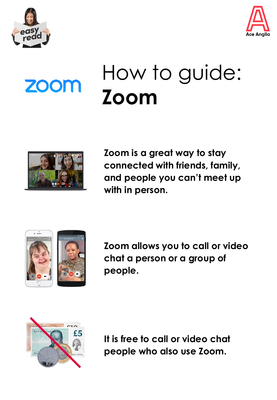



# **ZOOM**

## How to guide: **Zoom**



**Zoom is a great way to stay connected with friends, family, and people you can't meet up with in person.**





**Zoom allows you to call or video chat a person or a group of people.**



**It is free to call or video chat people who also use Zoom.**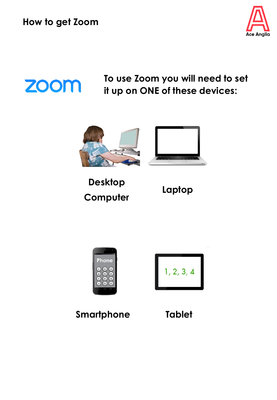

### **ZOOM**

**To use Zoom you will need to set it up on ONE of these devices:**



**Desktop Computer**







**Smartphone Tablet**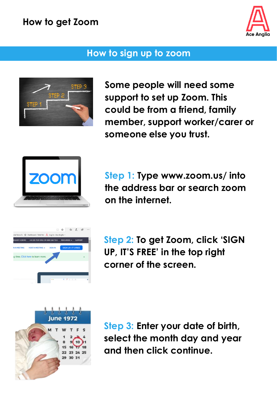

#### **How to sign up to zoom**



**Some people will need some support to set up Zoom. This could be from a friend, family member, support worker/carer or someone else you trust.** 



**Step 1: Type www.zoom.us/ into the address bar or search zoom on the internet.** 



**Step 2: To get Zoom, click 'SIGN UP, IT'S FREE' in the top right corner of the screen.**



**Step 3: Enter your date of birth, select the month day and year and then click continue.**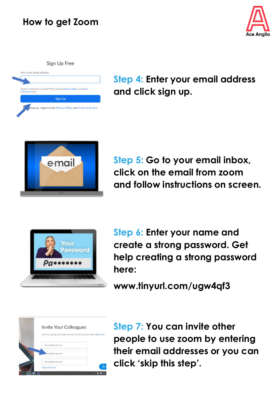

Sign Up Free

| of Service apply. | Zoom is protected by reCAPTCHA and the Privacy Policy and Terms |
|-------------------|-----------------------------------------------------------------|
|                   | <b>Sign Up</b>                                                  |
| в                 | gning up, I agree to the Privacy Policy and Terms of Service.   |

**Step 4: Enter your email address and click sign up.** 



**Step 5: Go to your email inbox, click on the email from zoom and follow instructions on screen.**



**Step 6: Enter your name and create a strong password. Get help creating a strong password here:**

**www.tinyurl.com/ugw4qf3** 

| Invite Your Colleagues                                                          |  |
|---------------------------------------------------------------------------------|--|
| Invite your colleagues to create their own free Zoom account today! Why invite? |  |
| name@domain.com                                                                 |  |
| sme@domain.com                                                                  |  |
| name@domain.com                                                                 |  |
| Add another email                                                               |  |

**Step 7: You can invite other people to use zoom by entering their email addresses or you can click 'skip this step'.**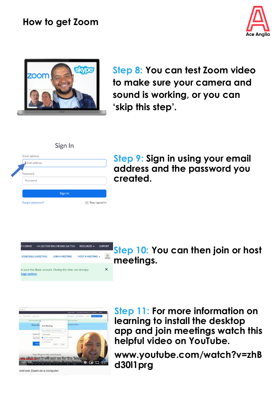



**Step 8: You can test Zoom video to make sure your camera and sound is working, or you can 'skip this step'.**

|                      | ייי יהוכי |                          |
|----------------------|-----------|--------------------------|
| <b>Email address</b> |           |                          |
| Email address        |           |                          |
| Password             |           |                          |
| Password             |           |                          |
|                      |           |                          |
|                      | Sign In   |                          |
| Forgot password?     |           | $\boxdot$ Stay signed in |

Sion In

**Step 9: Sign in using your email address and the password you created.**



**Step 10: You can then join or host meetings.**



and use Zoom on a computer

**Step 11: For more information on learning to install the desktop app and join meetings watch this helpful video on YouTube.** 

**www.youtube.com/watch?v=zhB d30l1prg**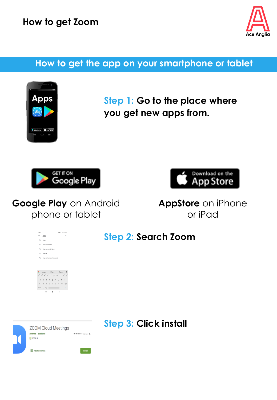

#### **How to get the app on your smartphone or tablet**



**Step 1: Go to the place where you get new apps from.**





**Google Play** on Android phone or tablet

**AppStore** on iPhone or iPad

| 11:02        |                                | $-1 \, \forall \, \bot \, \forall \, \textcircled{3}$ |
|--------------|--------------------------------|-------------------------------------------------------|
| $\leftarrow$ | skype                          | $\times$                                              |
|              | Q skype                        |                                                       |
|              | Q skype for business           |                                                       |
|              | Q skype for android tablet     |                                                       |
| $\alpha$     | skype lite                     |                                                       |
| Q            | skype for business for android |                                                       |
|              |                                |                                                       |
|              |                                |                                                       |
|              |                                |                                                       |

**Step 2: Search Zoom**



**Step 3: Click install**